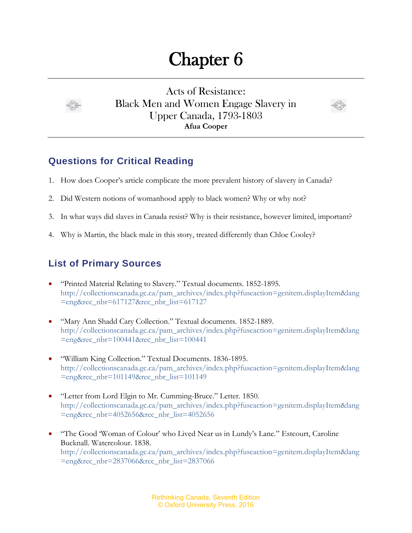## Chapter 6



Acts of Resistance: Black Men and Women Engage Slavery in Upper Canada, 1793-1803 **Afua Cooper**



## **Questions for Critical Reading**

- 1. How does Cooper's article complicate the more prevalent history of slavery in Canada?
- 2. Did Western notions of womanhood apply to black women? Why or why not?
- 3. In what ways did slaves in Canada resist? Why is their resistance, however limited, important?
- 4. Why is Martin, the black male in this story, treated differently than Chloe Cooley?

## **List of Primary Sources**

- "Printed Material Relating to Slavery." Textual documents. 1852-1895. [http://collectionscanada.gc.ca/pam\\_archives/index.php?fuseaction=genitem.displayItem&lang](http://collectionscanada.gc.ca/pam_archives/index.php?fuseaction=genitem.displayItem&lang=eng&rec_nbr=617127&rec_nbr_list=617127) [=eng&rec\\_nbr=617127&rec\\_nbr\\_list=617127](http://collectionscanada.gc.ca/pam_archives/index.php?fuseaction=genitem.displayItem&lang=eng&rec_nbr=617127&rec_nbr_list=617127)
- "Mary Ann Shadd Cary Collection." Textual documents. 1852-1889. [http://collectionscanada.gc.ca/pam\\_archives/index.php?fuseaction=genitem.displayItem&lang](http://collectionscanada.gc.ca/pam_archives/index.php?fuseaction=genitem.displayItem&lang=eng&rec_nbr=100441&rec_nbr_list=100441) [=eng&rec\\_nbr=100441&rec\\_nbr\\_list=100441](http://collectionscanada.gc.ca/pam_archives/index.php?fuseaction=genitem.displayItem&lang=eng&rec_nbr=100441&rec_nbr_list=100441)
- "William King Collection." Textual Documents. 1836-1895. [http://collectionscanada.gc.ca/pam\\_archives/index.php?fuseaction=genitem.displayItem&lang](http://collectionscanada.gc.ca/pam_archives/index.php?fuseaction=genitem.displayItem&lang=eng&rec_nbr=101149&rec_nbr_list=101149) [=eng&rec\\_nbr=101149&rec\\_nbr\\_list=101149](http://collectionscanada.gc.ca/pam_archives/index.php?fuseaction=genitem.displayItem&lang=eng&rec_nbr=101149&rec_nbr_list=101149)
- "Letter from Lord Elgin to Mr. Cumming-Bruce." Letter. 1850. [http://collectionscanada.gc.ca/pam\\_archives/index.php?fuseaction=genitem.displayItem&lang](http://collectionscanada.gc.ca/pam_archives/index.php?fuseaction=genitem.displayItem&lang=eng&rec_nbr=4052656&rec_nbr_list=4052656) [=eng&rec\\_nbr=4052656&rec\\_nbr\\_list=4052656](http://collectionscanada.gc.ca/pam_archives/index.php?fuseaction=genitem.displayItem&lang=eng&rec_nbr=4052656&rec_nbr_list=4052656)
- "The Good 'Woman of Colour' who Lived Near us in Lundy's Lane." Estcourt, Caroline Bucknall. Watercolour. 1838. [http://collectionscanada.gc.ca/pam\\_archives/index.php?fuseaction=genitem.displayItem&lang](http://collectionscanada.gc.ca/pam_archives/index.php?fuseaction=genitem.displayItem&lang=eng&rec_nbr=2837066&rec_nbr_list=2837066) [=eng&rec\\_nbr=2837066&rec\\_nbr\\_list=2837066](http://collectionscanada.gc.ca/pam_archives/index.php?fuseaction=genitem.displayItem&lang=eng&rec_nbr=2837066&rec_nbr_list=2837066)

Rethinking Canada, Seventh Edition © Oxford University Press, 2016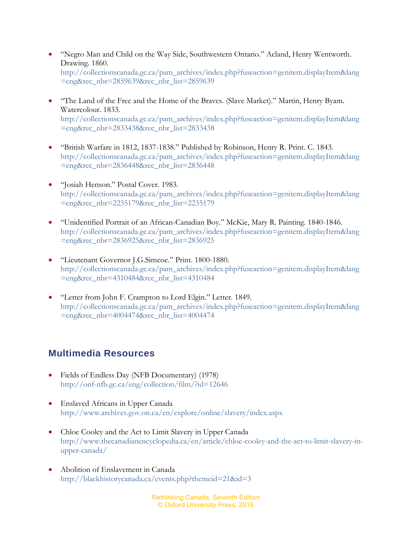- "Negro Man and Child on the Way Side, Southwestern Ontario." Acland, Henry Wentworth. Drawing. 1860. [http://collectionscanada.gc.ca/pam\\_archives/index.php?fuseaction=genitem.displayItem&lang](http://collectionscanada.gc.ca/pam_archives/index.php?fuseaction=genitem.displayItem&lang=eng&rec_nbr=2859639&rec_nbr_list=2859639) [=eng&rec\\_nbr=2859639&rec\\_nbr\\_list=2859639](http://collectionscanada.gc.ca/pam_archives/index.php?fuseaction=genitem.displayItem&lang=eng&rec_nbr=2859639&rec_nbr_list=2859639)
- "The Land of the Free and the Home of the Braves. (Slave Market)." Martin, Henry Byam. Watercolour. 1833. [http://collectionscanada.gc.ca/pam\\_archives/index.php?fuseaction=genitem.displayItem&lang](http://collectionscanada.gc.ca/pam_archives/index.php?fuseaction=genitem.displayItem&lang=eng&rec_nbr=2833438&rec_nbr_list=2833438) [=eng&rec\\_nbr=2833438&rec\\_nbr\\_list=2833438](http://collectionscanada.gc.ca/pam_archives/index.php?fuseaction=genitem.displayItem&lang=eng&rec_nbr=2833438&rec_nbr_list=2833438)
- "British Warfare in 1812, 1837-1838." Published by Robinson, Henry R. Print. C. 1843. [http://collectionscanada.gc.ca/pam\\_archives/index.php?fuseaction=genitem.displayItem&lang](http://collectionscanada.gc.ca/pam_archives/index.php?fuseaction=genitem.displayItem&lang=eng&rec_nbr=2836448&rec_nbr_list=2836448) [=eng&rec\\_nbr=2836448&rec\\_nbr\\_list=2836448](http://collectionscanada.gc.ca/pam_archives/index.php?fuseaction=genitem.displayItem&lang=eng&rec_nbr=2836448&rec_nbr_list=2836448)
- "Josiah Henson." Postal Cover. 1983. [http://collectionscanada.gc.ca/pam\\_archives/index.php?fuseaction=genitem.displayItem&lang](http://collectionscanada.gc.ca/pam_archives/index.php?fuseaction=genitem.displayItem&lang=eng&rec_nbr=2235179&rec_nbr_list=2235179) [=eng&rec\\_nbr=2235179&rec\\_nbr\\_list=2235179](http://collectionscanada.gc.ca/pam_archives/index.php?fuseaction=genitem.displayItem&lang=eng&rec_nbr=2235179&rec_nbr_list=2235179)
- "Unidentified Portrait of an African-Canadian Boy." McKie, Mary R. Painting. 1840-1846. [http://collectionscanada.gc.ca/pam\\_archives/index.php?fuseaction=genitem.displayItem&lang](http://collectionscanada.gc.ca/pam_archives/index.php?fuseaction=genitem.displayItem&lang=eng&rec_nbr=2836925&rec_nbr_list=2836925) [=eng&rec\\_nbr=2836925&rec\\_nbr\\_list=2836925](http://collectionscanada.gc.ca/pam_archives/index.php?fuseaction=genitem.displayItem&lang=eng&rec_nbr=2836925&rec_nbr_list=2836925)
- "Lieutenant Governor J.G.Simcoe." Print. 1800-1880. [http://collectionscanada.gc.ca/pam\\_archives/index.php?fuseaction=genitem.displayItem&lang](http://collectionscanada.gc.ca/pam_archives/index.php?fuseaction=genitem.displayItem&lang=eng&rec_nbr=4310484&rec_nbr_list=4310484) [=eng&rec\\_nbr=4310484&rec\\_nbr\\_list=4310484](http://collectionscanada.gc.ca/pam_archives/index.php?fuseaction=genitem.displayItem&lang=eng&rec_nbr=4310484&rec_nbr_list=4310484)
- "Letter from John F. Crampton to Lord Elgin." Letter. 1849. http://collectionscanada.gc.ca/pam\_archives/index.php?fuseaction=genitem.displayItem&lang =eng&rec\_nbr=4004474&rec\_nbr\_list=4004474

## **Multimedia Resources**

- Fields of Endless Day (NFB Documentary) (1978) <http://onf-nfb.gc.ca/eng/collection/film/?id=12646>
- Enslaved Africans in Upper Canada <http://www.archives.gov.on.ca/en/explore/online/slavery/index.aspx>
- Chloe Cooley and the Act to Limit Slavery in Upper Canada [http://www.thecanadianencyclopedia.ca/en/article/chloe-cooley-and-the-act-to-limit-slavery-in](http://www.thecanadianencyclopedia.ca/en/article/chloe-cooley-and-the-act-to-limit-slavery-in-upper-canada/)[upper-canada/](http://www.thecanadianencyclopedia.ca/en/article/chloe-cooley-and-the-act-to-limit-slavery-in-upper-canada/)
- Abolition of Enslavement in Canada <http://blackhistorycanada.ca/events.php?themeid=21&id=3>

Rethinking Canada, Seventh Edition © Oxford University Press, 2016